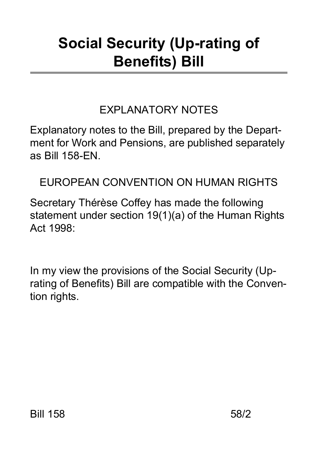# **Social Security (Up-rating of Benefits) Bill**

### EXPLANATORY NOTES

Explanatory notes to the Bill, prepared by the Department for Work and Pensions, are published separately as Bill 158-EN.

EUROPEAN CONVENTION ON HUMAN RIGHTS

Secretary Thérèse Coffey has made the following statement under section 19(1)(a) of the Human Rights Act 1998:

In my view the provisions of the Social Security (Uprating of Benefits) Bill are compatible with the Convention rights.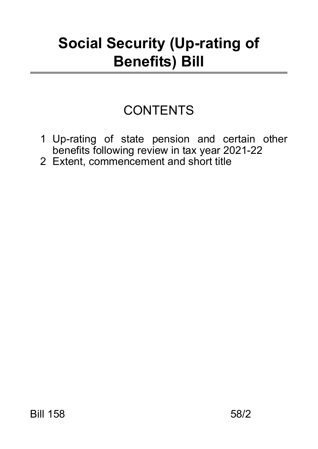## **Social Security (Up-rating of Benefits) Bill**

## **CONTENTS**

- 1 Up-rating of state pension and certain other benefits following review in tax year 2021-22
- 2 Extent, commencement and short title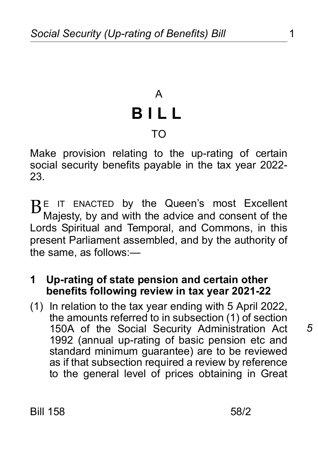## A **BILL** TO

Make provision relating to the up-rating of certain social security benefits payable in the tax year 2022- 23.

E IT ENACTED by the Queen's most Excellent B<sup>E</sup> IT ENACTED by the Queen's most Excellent<br>Majesty, by and with the advice and consent of the Lords Spiritual and Temporal, and Commons, in this present Parliament assembled, and by the authority of the same, as follows:—

#### **1 Up-rating of state pension and certain other benefits following review in tax year 2021-22**

(1) In relation to the tax year ending with 5 April 2022, the amounts referred to in subsection (1) of section 150A of the Social Security Administration Act 1992 (annual up-rating of basic pension etc and standard minimum guarantee) are to be reviewed as if that subsection required a review by reference to the general level of prices obtaining in Great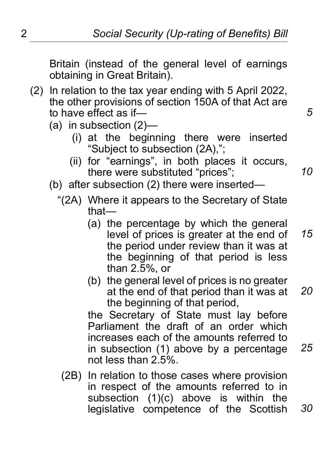*5*

*10*

Britain (instead of the general level of earnings obtaining in Great Britain).

- (2) In relation to the tax year ending with 5 April 2022, the other provisions of section 150A of that Act are to have effect as if—
	- (a) in subsection (2)—
		- (i) at the beginning there were inserted "Subject to subsection (2A),";
		- (ii) for "earnings", in both places it occurs, there were substituted "prices";
	- (b) after subsection (2) there were inserted—
		- "(2A) Where it appears to the Secretary of State that—
			- (a) the percentage by which the general level of prices is greater at the end of the period under review than it was at the beginning of that period is less than 2.5%, or *15*
			- (b) the general level of prices is no greater at the end of that period than it was at the beginning of that period, *20*

the Secretary of State must lay before Parliament the draft of an order which increases each of the amounts referred to in subsection (1) above by a percentage not less than 2.5%. *25*

(2B) In relation to those cases where provision in respect of the amounts referred to in subsection (1)(c) above is within the legislative competence of the Scottish *30*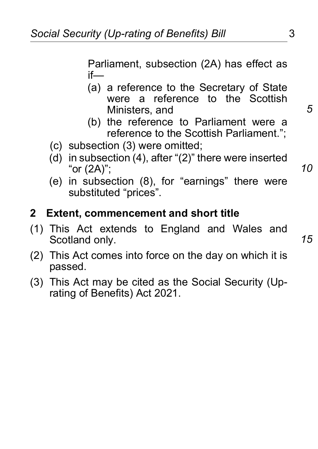Parliament, subsection (2A) has effect as if—

- (a) a reference to the Secretary of State were a reference to the Scottish Ministers, and
- (b) the reference to Parliament were a reference to the Scottish Parliament.";
- (c) subsection (3) were omitted;
- (d) in subsection (4), after "(2)" there were inserted "or (2A)";
- (e) in subsection (8), for "earnings" there were substituted "prices".

#### **2 Extent, commencement and short title**

- (1) This Act extends to England and Wales and Scotland only.
- (2) This Act comes into force on the day on which it is passed.
- (3) This Act may be cited as the Social Security (Uprating of Benefits) Act 2021.

*15*

*5*

*10*